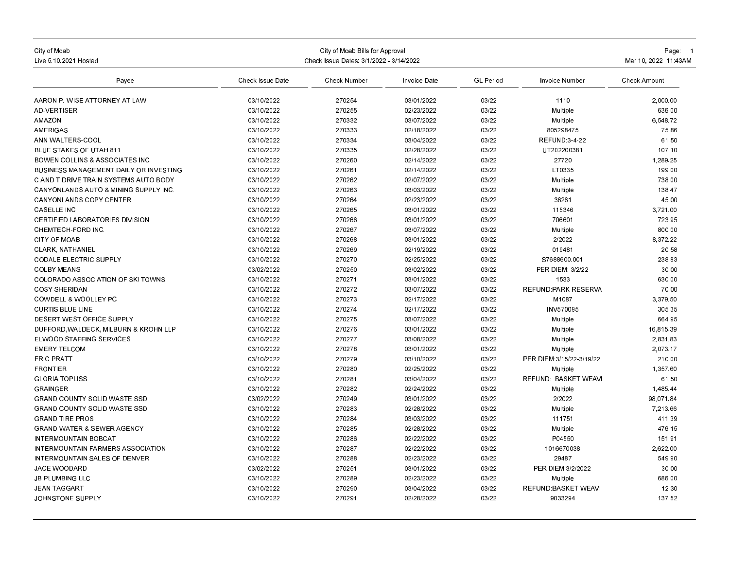| City of Moab<br>Live 5.10.2021 Hosted           | City of Moab Bills for Approval<br>Check Issue Dates: 3/1/2022 - 3/14/2022 |              |              |                  |                                 | Page: 1<br>Mar 10, 2022 11:43AM |
|-------------------------------------------------|----------------------------------------------------------------------------|--------------|--------------|------------------|---------------------------------|---------------------------------|
| Payee                                           | <b>Check Issue Date</b>                                                    | Check Number | Invoice Date | <b>GL</b> Period | Invoice Number                  | <b>Check Amount</b>             |
| AARON P. WISE ATTORNEY AT LAW                   | 03/10/2022                                                                 | 270254       | 03/01/2022   | 03/22            | 1110                            | 2.000.00                        |
| <b>AD-VERTISER</b>                              | 03/10/2022                                                                 | 270255       | 02/23/2022   | 03/22            | Multiple                        | 636.00                          |
| AMAZON                                          | 03/10/2022                                                                 | 270332       | 03/07/2022   | 03/22            | Multiple                        | 6,548.72                        |
| AMERIGAS                                        | 03/10/2022                                                                 | 270333       | 02/18/2022   | 03/22            | 805298475                       | 75.86                           |
| ANN WALTERS-COOL                                | 03/10/2022                                                                 | 270334       | 03/04/2022   | 03/22            | <b>REFUND:3-4-22</b>            | 61.50                           |
| <b>BLUE STAKES OF UTAH 811</b>                  | 03/10/2022                                                                 | 270335       | 02/28/2022   | 03/22            | UT202200381                     | 107.10                          |
| <b>BOWEN COLLINS &amp; ASSOCIATES INC.</b>      | 03/10/2022                                                                 | 270260       | 02/14/2022   | 03/22            | 27720                           | 1.289.25                        |
| BUSINESS MANAGEMENT DAILY OR INVESTING          | 03/10/2022                                                                 | 270261       | 02/14/2022   | 03/22            | LT0335                          | 199.00                          |
| C AND T DRIVE TRAIN SYSTEMS AUTO BODY           | 03/10/2022                                                                 | 270262       | 02/07/2022   | 03/22            | Multiple                        | 738.00                          |
| <b>CANYONLANDS AUTO &amp; MINING SUPPLY INC</b> | 03/10/2022                                                                 | 270263       | 03/03/2022   | 03/22            | Multiple                        | 138.47                          |
| <b>CANYONLANDS COPY CENTER</b>                  | 03/10/2022                                                                 | 270264       | 02/23/2022   | 03/22            | 36261                           | 45.00                           |
| <b>CASELLE INC</b>                              | 03/10/2022                                                                 | 270265       | 03/01/2022   | 03/22            | 115346                          | 3,721.00                        |
| <b>CERTIFIED LABORATORIES DIVISION</b>          | 03/10/2022                                                                 | 270266       | 03/01/2022   | 03/22            | 706601                          | 723.95                          |
| CHEMTECH-FORD INC.                              | 03/10/2022                                                                 | 270267       | 03/07/2022   | 03/22            | Multiple                        | 800.00                          |
| <b>CITY OF MOAB</b>                             | 03/10/2022                                                                 | 270268       | 03/01/2022   | 03/22            | 2/2022                          | 8,372.22                        |
| <b>CLARK, NATHANIEL</b>                         | 03/10/2022                                                                 | 270269       | 02/19/2022   | 03/22            | 019481                          | 20.58                           |
| <b>CODALE ELECTRIC SUPPLY</b>                   | 03/10/2022                                                                 | 270270       | 02/25/2022   | 03/22            | S7688600.001                    | 238 83                          |
| <b>COLBY MEANS</b>                              | 03/02/2022                                                                 | 270250       | 03/02/2022   | 03/22            | <b>PER DIEM: 3/2/22</b>         | 30.00                           |
| <b>COLORADO ASSOCIATION OF SKI TOWNS</b>        | 03/10/2022                                                                 | 270271       | 03/01/2022   | 03/22            | 1533                            | 630.00                          |
| <b>COSY SHERIDAN</b>                            | 03/10/2022                                                                 | 270272       | 03/07/2022   | 03/22            | <b>REFUND PARK RESERVA</b>      | 70.00                           |
| <b>COWDELL &amp; WOOLLEY PC</b>                 | 03/10/2022                                                                 | 270273       | 02/17/2022   | 03/22            | M <sub>1087</sub>               | 3,379.50                        |
| <b>CURTIS BLUE LINE</b>                         | 03/10/2022                                                                 | 270274       | 02/17/2022   | 03/22            | INV570095                       | 305.35                          |
| <b>DESERT WEST OFFICE SUPPLY</b>                | 03/10/2022                                                                 | 270275       | 03/07/2022   | 03/22            | Multiple                        | 664.95                          |
| DUFFORD WALDECK, MILBURN & KROHN LLP            | 03/10/2022                                                                 | 270276       | 03/01/2022   | 03/22            | Multiple                        | 16,815.39                       |
| ELWOOD STAFFING SERVICES                        | 03/10/2022                                                                 | 270277       | 03/08/2022   | 03/22            | Multiple                        | 2.831.83                        |
| <b>EMERY TELCOM</b>                             | 03/10/2022                                                                 | 270278       | 03/01/2022   | 03/22            | Multiple                        | 2,073.17                        |
| <b>ERIC PRATT</b>                               | 03/10/2022                                                                 | 270279       | 03/10/2022   | 03/22            | PER DIEM: 3/1 5/22-3/19/22      | 210.00                          |
| <b>FRONTIER</b>                                 | 03/10/2022                                                                 | 270280       | 02/25/2022   | 03/22            | Multiple                        | 1,357.60                        |
| <b>GLORIA TOPLISS</b>                           | 03/10/2022                                                                 | 270281       | 03/04/2022   | 03/22            | REFUND: BASKET WEAVI            | 61.50                           |
| <b>GRAINGER</b>                                 | 03/10/2022                                                                 | 270282       | 02/24/2022   | 03/22            | Multiple                        | 1,485.44                        |
| <b>GRAND COUNTY SOLID WASTE SSD</b>             | 03/02/2022                                                                 | 270249       | 03/01/2022   | 03/22            | 2/2022                          | 98.071.84                       |
| <b>GRAND COUNTY SOLID WASTE SSD</b>             | 03/10/2022                                                                 | 270283       | 02/28/2022   | 03/22            | Multiple                        | 7 213.66                        |
| <b>GRAND TIRE PROS</b>                          | 03/10/2022                                                                 | 270284       | 03/03/2022   | 03/22            | 111751                          | 411.39                          |
| <b>GRAND WATER &amp; SEWER AGENCY</b>           | 03/10/2022                                                                 | 270285       | 02/28/2022   | 03/22            | Multiple                        | 476.15                          |
| INTERMOUNTAIN BOBCAT                            | 03/10/2022                                                                 | 270286       | 02/22/2022   | 03/22            | P04550                          | 151.91                          |
| INTERMOUNTAIN FARMERS ASSOCIATION               | 03/10/2022                                                                 | 270287       | 02/22/2022   | 03/22            | 1016670038                      | 2,622.00                        |
| INTERMOUNTAIN SALES OF DENVER                   | 03/10/2022                                                                 | 270288       | 02/23/2022   | 03/22            | 29487                           | 549.90                          |
| <b>JACE WOODARD</b>                             | 03/02/2022                                                                 | 270251       | 03/01/2022   | 03/22            | PER DIEM 3/2/2022               | 30.00                           |
| <b>JB PLUMBING LLC</b>                          | 03/10/2022                                                                 | 270289       | 02/23/2022   | 03/22            |                                 | 686.00                          |
| <b>JEAN TAGGART</b>                             | 03/10/2022                                                                 | 270290       | 03/04/2022   | 03/22            | Multiple<br>REFUND:BASKET WEAVI | 12.30                           |
|                                                 |                                                                            |              |              |                  |                                 |                                 |
| JOHNSTONE SUPPLY                                | 03/10/2022                                                                 | 270291       | 02/28/2022   | 03/22            | 9033294                         | 137 52                          |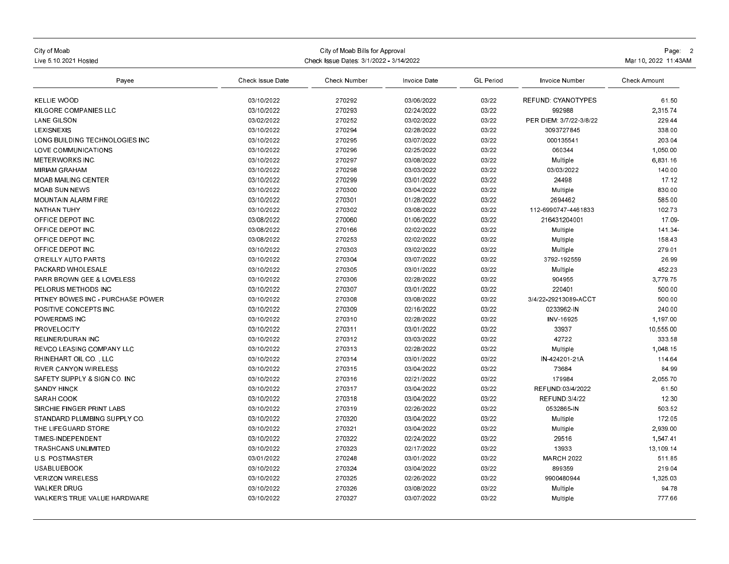| City of Moab<br>Live 5 10 2021 Hosted | Check Issue Dates: 3/1/2022 - 3/14/2022 | Page 2<br>Mar 10, 2022 11:43AM |              |                  |                         |                     |
|---------------------------------------|-----------------------------------------|--------------------------------|--------------|------------------|-------------------------|---------------------|
| Payee                                 | Check Issue Date                        | Check Number                   | Invoice Date | <b>GL</b> Period | Invoice Number          | <b>Check Amount</b> |
| <b>KELLIE WOOD</b>                    | 03/10/2022                              | 270292                         | 03/06/2022   | 03/22            | REFUND CYANOTYPES       | 61.50               |
| KILGORE COMPANIES LLC                 | 03/10/2022                              | 270293                         | 02/24/2022   | 03/22            | 992988                  | 2.315.74            |
| <b>LANE GILSON</b>                    | 03/02/2022                              | 270252                         | 03/02/2022   | 03/22            | PER DIEM: 3/7/22-3/8/22 | 229.44              |
| LEXISNEXIS                            | 03/10/2022                              | 270294                         | 02/28/2022   | 03/22            | 3093727845              | 338.00              |
| LONG BUILDING TECHNOLOGIES INC        | 03/10/2022                              | 270295                         | 03/07/2022   | 03/22            | 000135541               | 203.04              |
| LOVE COMMUNICATIONS                   | 03/10/2022                              | 270296                         | 02/25/2022   | 03/22            | 060344                  | 1,050.00            |
| <b>METERWORKS INC.</b>                | 03/10/2022                              | 270297                         | 03/08/2022   | 03/22            | Multiple                | 6,831.16            |
| <b>MIRIAM GRAHAM</b>                  | 03/10/2022                              | 270298                         | 03/03/2022   | 03/22            | 03/03/2022              | 140.00              |
| <b>MOAB MAILING CENTER</b>            | 03/10/2022                              | 270299                         | 03/01/2022   | 03/22            | 24498                   | 17.12               |
| <b>MOAB SUN NEWS</b>                  | 03/10/2022                              | 270300                         | 03/04/2022   | 03/22            | Multiple                | 830.00              |
| <b>MOUNTAIN ALARM FIRE</b>            | 03/10/2022                              | 270301                         | 01/28/2022   | 03/22            | 2694462                 | 585.00              |
| <b>NATHAN TUHY</b>                    | 03/10/2022                              | 270302                         | 03/08/2022   | 03/22            | 112-6990747-4461833     | 102.73              |
| OFFICE DEPOT INC.                     | 03/08/2022                              | 270060                         | 01/06/2022   | 03/22            | 216431204001            | 17.09               |
| OFFICE DEPOT INC.                     | 03/08/2022                              | 270166                         | 02/02/2022   | 03/22            | Multiple                | 141.34-             |
| OFFICE DEPOT INC.                     | 03/08/2022                              | 270253                         | 02/02/2022   | 03/22            | Multiple                | 158.43              |
| OFFICE DEPOT INC.                     | 03/10/2022                              | 270303                         | 03/02/2022   | 03/22            | Multiple                | 279.01              |
| O'REILLY AUTO PARTS                   | 03/10/2022                              | 270304                         | 03/07/2022   | 03/22            | 3792-192559             | 26.99               |
| PACKARD WHOLESALE                     | 03/10/2022                              | 270305                         | 03/01/2022   | 03/22            | Multiple                | 452.23              |
| <b>PARR BROWN GEE &amp; LOVELESS</b>  | 03/10/2022                              | 270306                         | 02/28/2022   | 03/22            | 904955                  | 3,779.75            |
| PELORUS METHODS INC                   | 03/10/2022                              | 270307                         | 03/01/2022   | 03/22            | 220401                  | 500.00              |
| PITNEY BOWES INC - PURCHASE POWER     | 03/10/2022                              | 270308                         | 03/08/2022   | 03/22            | 3/4/22-29213089-ACCT    | 500.00              |
| POSITIVE CONCEPTS INC.                | 03/10/2022                              | 270309                         | 02/16/2022   | 03/22            | 0233962-IN              | 240.00              |
| POWERDMS INC                          | 03/10/2022                              | 270310                         | 02/28/2022   | 03/22            | INV-16925               | 1.197.00            |
| PROVELOCITY                           | 03/10/2022                              | 270311                         | 03/01/2022   | 03/22            | 33937                   | 10,555.00           |
| <b>RELINER/DURAN INC</b>              | 03/10/2022                              | 270312                         | 03/03/2022   | 03/22            | 42722                   | 333.58              |
| REVCO LEASING COMPANY LLC             | 03/10/2022                              | 270313                         | 02/28/2022   | 03/22            | Multiple                | 1,048.15            |
| RHINEHART OIL CO., LLC                | 03/10/2022                              | 270314                         | 03/01/2022   | 03/22            | IN-424201-21A           | 114.64              |
| <b>RIVER CANYON WIRELESS</b>          | 03/10/2022                              | 270315                         | 03/04/2022   | 03/22            | 73684                   | 84.99               |
| SAFETY SUPPLY & SIGN CO. INC          | 03/10/2022                              | 270316                         | 02/21/2022   | 03/22            | 179984                  | 2,055.70            |
| <b>SANDY HINCK</b>                    | 03/10/2022                              | 270317                         | 03/04/2022   | 03/22            | REFUND:03/4/2022        | 61.50               |
| <b>SARAH COOK</b>                     | 03/10/2022                              | 270318                         | 03/04/2022   | 03/22            | <b>REFUND 3/4/22</b>    | 12.30               |
| SIRCHIE FINGER PRINT LABS             | 03/10/2022                              | 270319                         | 02/26/2022   | 03/22            | 0532865-IN              | 503.52              |
| STANDARD PLUMBING SUPPLY CO.          | 03/10/2022                              | 270320                         | 03/04/2022   | 03/22            | Multiple                | 172.05              |
| THE LIFEGUARD STORE                   | 03/10/2022                              | 270321                         | 03/04/2022   | 03/22            | Multiple                | 2.939.00            |
| TIMES-INDEPENDENT                     | 03/10/2022                              | 270322                         | 02/24/2022   | 03/22            | 29516                   | 1.547.41            |
| <b>TRASHCANS UNLIMITED</b>            | 03/10/2022                              | 270323                         | 02/17/2022   | 03/22            | 13933                   | 13.109.14           |
| <b>U.S. POSTMASTER</b>                | 03/01/2022                              | 270248                         | 03/01/2022   | 03/22            | <b>MARCH 2022</b>       | 511.85              |
| <b>USABLUEBOOK</b>                    | 03/10/2022                              | 270324                         | 03/04/2022   | 03/22            | 899359                  | 219.04              |
| <b>VERIZON WIRELESS</b>               | 03/10/2022                              | 270325                         | 02/26/2022   | 03/22            | 9900480944              | 1,325.03            |
| <b>WALKER DRUG</b>                    | 03/10/2022                              | 270326                         | 03/08/2022   | 03/22            | Multiple                | 94.78               |
| WALKER'S TRUE VALUE HARDWARE          | 03/10/2022                              | 270327                         | 03/07/2022   | 03/22            | Multiple                | 777 66              |